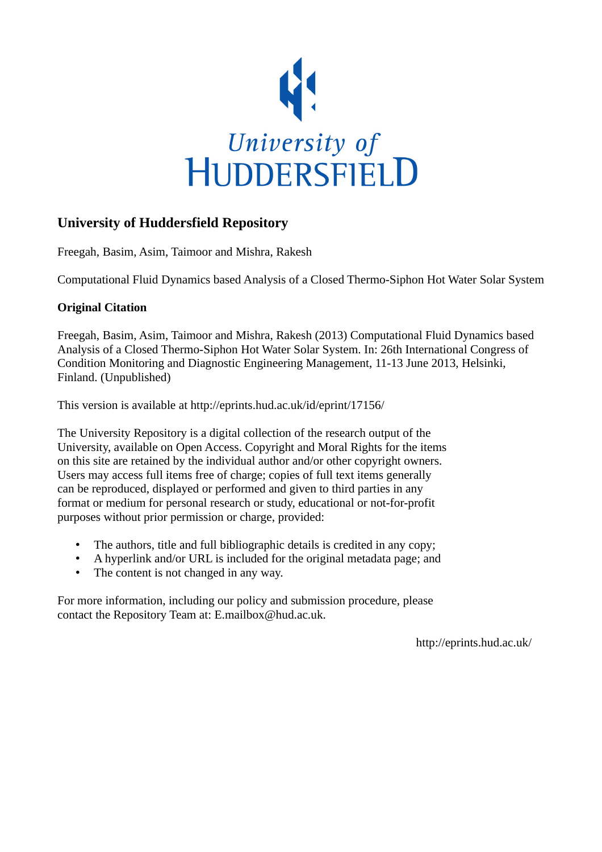

## **University of Huddersfield Repository**

Freegah, Basim, Asim, Taimoor and Mishra, Rakesh

Computational Fluid Dynamics based Analysis of a Closed Thermo-Siphon Hot Water Solar System

## **Original Citation**

Freegah, Basim, Asim, Taimoor and Mishra, Rakesh (2013) Computational Fluid Dynamics based Analysis of a Closed Thermo-Siphon Hot Water Solar System. In: 26th International Congress of Condition Monitoring and Diagnostic Engineering Management, 11-13 June 2013, Helsinki, Finland. (Unpublished)

This version is available at http://eprints.hud.ac.uk/id/eprint/17156/

The University Repository is a digital collection of the research output of the University, available on Open Access. Copyright and Moral Rights for the items on this site are retained by the individual author and/or other copyright owners. Users may access full items free of charge; copies of full text items generally can be reproduced, displayed or performed and given to third parties in any format or medium for personal research or study, educational or not-for-profit purposes without prior permission or charge, provided:

- The authors, title and full bibliographic details is credited in any copy;
- A hyperlink and/or URL is included for the original metadata page; and
- The content is not changed in any way.

For more information, including our policy and submission procedure, please contact the Repository Team at: E.mailbox@hud.ac.uk.

http://eprints.hud.ac.uk/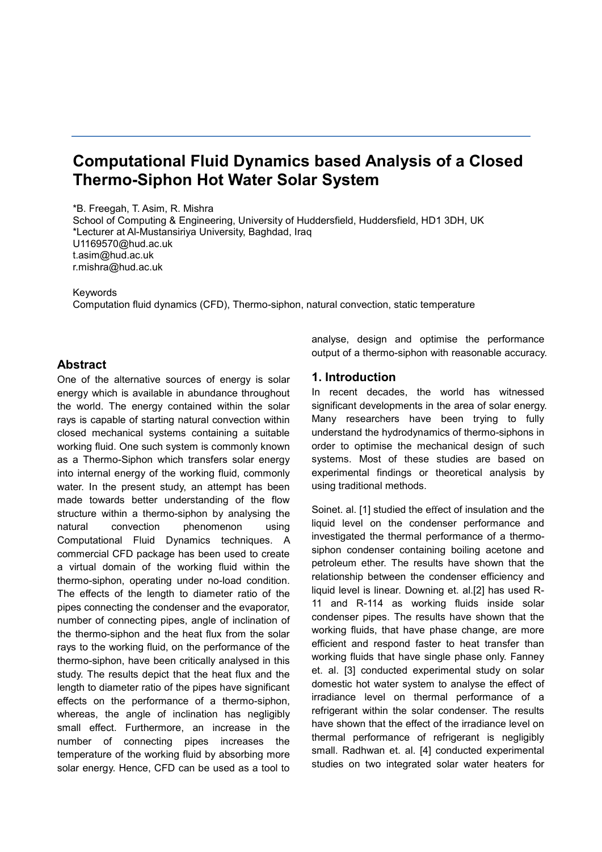# **Computational Fluid Dynamics based Analysis of a Closed Thermo-Siphon Hot Water Solar System**

\*B. Freegah, T. Asim, R. Mishra School of Computing & Engineering, University of Huddersfield, Huddersfield, HD1 3DH, UK \*Lecturer at Al-Mustansiriya University, Baghdad, Iraq [U1169570@hud.ac.uk](mailto:U1169570@hud.ac.uk) [t.asim@hud.ac.uk](mailto:t.asim@hud.ac.uk) r.mishra@hud.ac.uk

Keywords

Computation fluid dynamics (CFD), Thermo-siphon, natural convection, static temperature

#### **Abstract**

One of the alternative sources of energy is solar energy which is available in abundance throughout the world. The energy contained within the solar rays is capable of starting natural convection within closed mechanical systems containing a suitable working fluid. One such system is commonly known as a Thermo-Siphon which transfers solar energy into internal energy of the working fluid, commonly water. In the present study, an attempt has been made towards better understanding of the flow structure within a thermo-siphon by analysing the natural convection phenomenon using Computational Fluid Dynamics techniques. A commercial CFD package has been used to create a virtual domain of the working fluid within the thermo-siphon, operating under no-load condition. The effects of the length to diameter ratio of the pipes connecting the condenser and the evaporator, number of connecting pipes, angle of inclination of the thermo-siphon and the heat flux from the solar rays to the working fluid, on the performance of the thermo-siphon, have been critically analysed in this study. The results depict that the heat flux and the length to diameter ratio of the pipes have significant effects on the performance of a thermo-siphon, whereas, the angle of inclination has negligibly small effect. Furthermore, an increase in the number of connecting pipes increases the temperature of the working fluid by absorbing more solar energy. Hence, CFD can be used as a tool to

analyse, design and optimise the performance output of a thermo-siphon with reasonable accuracy.

#### **1. Introduction**

In recent decades, the world has witnessed significant developments in the area of solar energy. Many researchers have been trying to fully understand the hydrodynamics of thermo-siphons in order to optimise the mechanical design of such systems. Most of these studies are based on experimental findings or theoretical analysis by using traditional methods.

Soinet. al. [1] studied the effect of insulation and the liquid level on the condenser performance and investigated the thermal performance of a thermosiphon condenser containing boiling acetone and petroleum ether. The results have shown that the relationship between the condenser efficiency and liquid level is linear. Downing et. al.[2] has used R-11 and R-114 as working fluids inside solar condenser pipes. The results have shown that the working fluids, that have phase change, are more efficient and respond faster to heat transfer than working fluids that have single phase only. Fanney et. al. [3] conducted experimental study on solar domestic hot water system to analyse the effect of irradiance level on thermal performance of a refrigerant within the solar condenser. The results have shown that the effect of the irradiance level on thermal performance of refrigerant is negligibly small. Radhwan et. al. [4] conducted experimental studies on two integrated solar water heaters for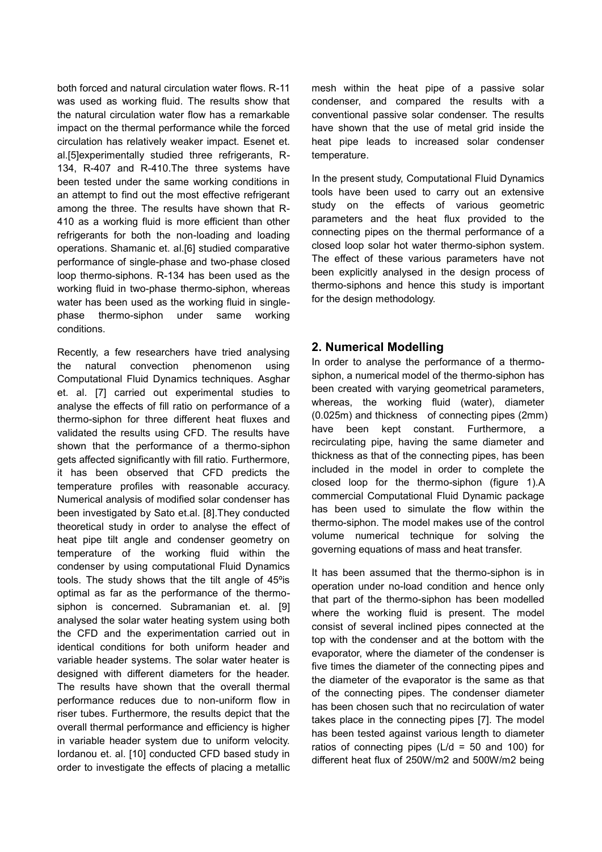both forced and natural circulation water flows. R-11 was used as working fluid. The results show that the natural circulation water flow has a remarkable impact on the thermal performance while the forced circulation has relatively weaker impact. Esenet et. al.[5]experimentally studied three refrigerants, R-134, R-407 and R-410.The three systems have been tested under the same working conditions in an attempt to find out the most effective refrigerant among the three. The results have shown that R-410 as a working fluid is more efficient than other refrigerants for both the non-loading and loading operations. Shamanic et. al.[6] studied comparative performance of single-phase and two-phase closed loop thermo-siphons. R-134 has been used as the working fluid in two-phase thermo-siphon, whereas water has been used as the working fluid in singlephase thermo-siphon under same working conditions.

Recently, a few researchers have tried analysing the natural convection phenomenon using Computational Fluid Dynamics techniques. Asghar et. al. [7] carried out experimental studies to analyse the effects of fill ratio on performance of a thermo-siphon for three different heat fluxes and validated the results using CFD. The results have shown that the performance of a thermo-siphon gets affected significantly with fill ratio. Furthermore, it has been observed that CFD predicts the temperature profiles with reasonable accuracy. Numerical analysis of modified solar condenser has been investigated by Sato et.al. [8].They conducted theoretical study in order to analyse the effect of heat pipe tilt angle and condenser geometry on temperature of the working fluid within the condenser by using computational Fluid Dynamics tools. The study shows that the tilt angle of 45ºis optimal as far as the performance of the thermosiphon is concerned. Subramanian et. al. [9] analysed the solar water heating system using both the CFD and the experimentation carried out in identical conditions for both uniform header and variable header systems. The solar water heater is designed with different diameters for the header. The results have shown that the overall thermal performance reduces due to non-uniform flow in riser tubes. Furthermore, the results depict that the overall thermal performance and efficiency is higher in variable header system due to uniform velocity. Iordanou et. al. [10] conducted CFD based study in order to investigate the effects of placing a metallic

mesh within the heat pipe of a passive solar condenser, and compared the results with a conventional passive solar condenser. The results have shown that the use of metal grid inside the heat pipe leads to increased solar condenser temperature.

In the present study, Computational Fluid Dynamics tools have been used to carry out an extensive study on the effects of various geometric parameters and the heat flux provided to the connecting pipes on the thermal performance of a closed loop solar hot water thermo-siphon system. The effect of these various parameters have not been explicitly analysed in the design process of thermo-siphons and hence this study is important for the design methodology.

### **2. Numerical Modelling**

In order to analyse the performance of a thermosiphon, a numerical model of the thermo-siphon has been created with varying geometrical parameters, whereas, the working fluid (water), diameter (0.025m) and thickness of connecting pipes (2mm) have been kept constant. Furthermore, a recirculating pipe, having the same diameter and thickness as that of the connecting pipes, has been included in the model in order to complete the closed loop for the thermo-siphon (figure 1).A commercial Computational Fluid Dynamic package has been used to simulate the flow within the thermo-siphon. The model makes use of the control volume numerical technique for solving the governing equations of mass and heat transfer.

It has been assumed that the thermo-siphon is in operation under no-load condition and hence only that part of the thermo-siphon has been modelled where the working fluid is present. The model consist of several inclined pipes connected at the top with the condenser and at the bottom with the evaporator, where the diameter of the condenser is five times the diameter of the connecting pipes and the diameter of the evaporator is the same as that of the connecting pipes. The condenser diameter has been chosen such that no recirculation of water takes place in the connecting pipes [7]. The model has been tested against various length to diameter ratios of connecting pipes ( $L/d = 50$  and 100) for different heat flux of 250W/m2 and 500W/m2 being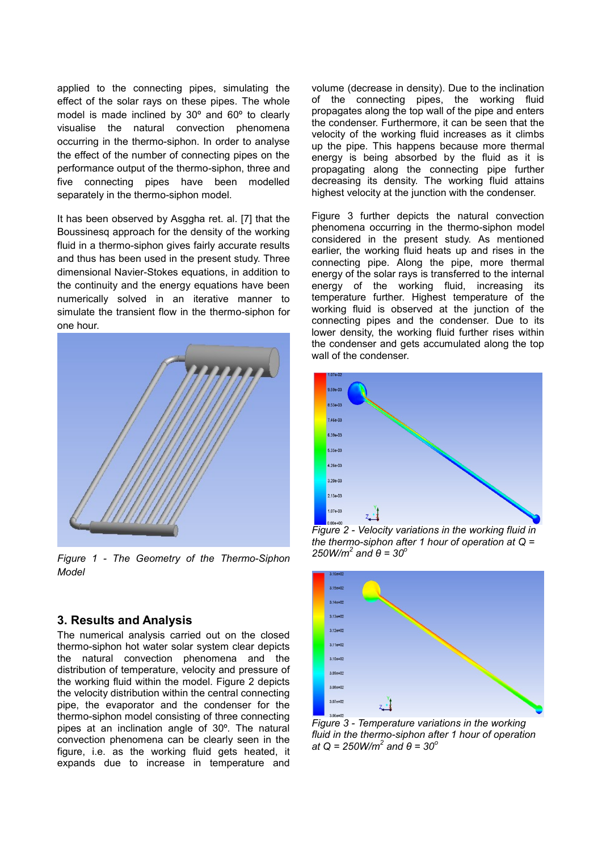applied to the connecting pipes, simulating the effect of the solar rays on these pipes. The whole model is made inclined by 30º and 60º to clearly visualise the natural convection phenomena occurring in the thermo-siphon. In order to analyse the effect of the number of connecting pipes on the performance output of the thermo-siphon, three and five connecting pipes have been modelled separately in the thermo-siphon model.

It has been observed by Asggha ret. al. [7] that the Boussinesq approach for the density of the working fluid in a thermo-siphon gives fairly accurate results and thus has been used in the present study. Three dimensional Navier-Stokes equations, in addition to the continuity and the energy equations have been numerically solved in an iterative manner to simulate the transient flow in the thermo-siphon for one hour.



*Figure 1 - The Geometry of the Thermo-Siphon Model*

#### **3. Results and Analysis**

The numerical analysis carried out on the closed thermo-siphon hot water solar system clear depicts the natural convection phenomena and the distribution of temperature, velocity and pressure of the working fluid within the model. Figure 2 depicts the velocity distribution within the central connecting pipe, the evaporator and the condenser for the thermo-siphon model consisting of three connecting pipes at an inclination angle of 30º. The natural convection phenomena can be clearly seen in the figure, i.e. as the working fluid gets heated, it expands due to increase in temperature and

volume (decrease in density). Due to the inclination of the connecting pipes, the working fluid propagates along the top wall of the pipe and enters the condenser. Furthermore, it can be seen that the velocity of the working fluid increases as it climbs up the pipe. This happens because more thermal energy is being absorbed by the fluid as it is propagating along the connecting pipe further decreasing its density. The working fluid attains highest velocity at the junction with the condenser.

Figure 3 further depicts the natural convection phenomena occurring in the thermo-siphon model considered in the present study. As mentioned earlier, the working fluid heats up and rises in the connecting pipe. Along the pipe, more thermal energy of the solar rays is transferred to the internal energy of the working fluid, increasing its temperature further. Highest temperature of the working fluid is observed at the junction of the connecting pipes and the condenser. Due to its lower density, the working fluid further rises within the condenser and gets accumulated along the top wall of the condenser.



*Figure 2 - Velocity variations in the working fluid in the thermo-siphon after 1 hour of operation at Q = 250W/m<sup>2</sup> and θ = 30<sup>o</sup>*



*Figure 3 - Temperature variations in the working fluid in the thermo-siphon after 1 hour of operation at Q = 250W/m<sup>2</sup> and θ = 30<sup>o</sup>*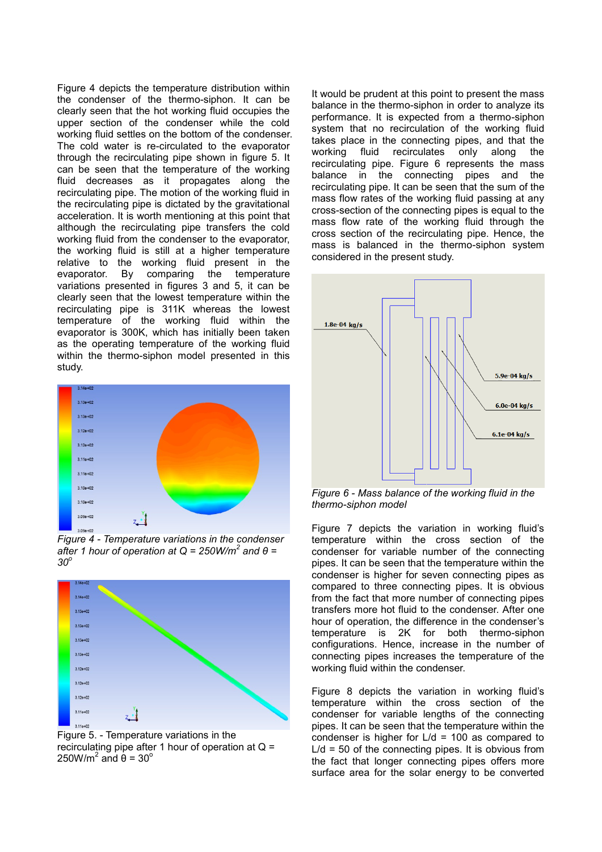Figure 4 depicts the temperature distribution within the condenser of the thermo-siphon. It can be clearly seen that the hot working fluid occupies the upper section of the condenser while the cold working fluid settles on the bottom of the condenser. The cold water is re-circulated to the evaporator through the recirculating pipe shown in figure 5. It can be seen that the temperature of the working fluid decreases as it propagates along the recirculating pipe. The motion of the working fluid in the recirculating pipe is dictated by the gravitational acceleration. It is worth mentioning at this point that although the recirculating pipe transfers the cold working fluid from the condenser to the evaporator, the working fluid is still at a higher temperature relative to the working fluid present in the evaporator. By comparing the temperature variations presented in figures 3 and 5, it can be clearly seen that the lowest temperature within the recirculating pipe is 311K whereas the lowest temperature of the working fluid within the evaporator is 300K, which has initially been taken as the operating temperature of the working fluid within the thermo-siphon model presented in this study.



*Figure 4 - Temperature variations in the condenser*  after 1 hour of operation at  $Q = 250W/m<sup>2</sup>$  and  $θ =$ *30<sup>o</sup>*



Figure 5. - Temperature variations in the recirculating pipe after 1 hour of operation at  $Q =$ 250W/m<sup>2</sup> and  $\dot{\theta}$  = 30<sup>o</sup>

It would be prudent at this point to present the mass balance in the thermo-siphon in order to analyze its performance. It is expected from a thermo-siphon system that no recirculation of the working fluid takes place in the connecting pipes, and that the working fluid recirculates only along the recirculating pipe. Figure 6 represents the mass balance in the connecting pipes and the recirculating pipe. It can be seen that the sum of the mass flow rates of the working fluid passing at any cross-section of the connecting pipes is equal to the mass flow rate of the working fluid through the cross section of the recirculating pipe. Hence, the mass is balanced in the thermo-siphon system considered in the present study.



*Figure 6 - Mass balance of the working fluid in the thermo-siphon model*

Figure 7 depicts the variation in working fluid's temperature within the cross section of the condenser for variable number of the connecting pipes. It can be seen that the temperature within the condenser is higher for seven connecting pipes as compared to three connecting pipes. It is obvious from the fact that more number of connecting pipes transfers more hot fluid to the condenser. After one hour of operation, the difference in the condenser's temperature is 2K for both thermo-siphon configurations. Hence, increase in the number of connecting pipes increases the temperature of the working fluid within the condenser.

Figure 8 depicts the variation in working fluid's temperature within the cross section of the condenser for variable lengths of the connecting pipes. It can be seen that the temperature within the condenser is higher for  $L/d = 100$  as compared to  $L/d = 50$  of the connecting pipes. It is obvious from the fact that longer connecting pipes offers more surface area for the solar energy to be converted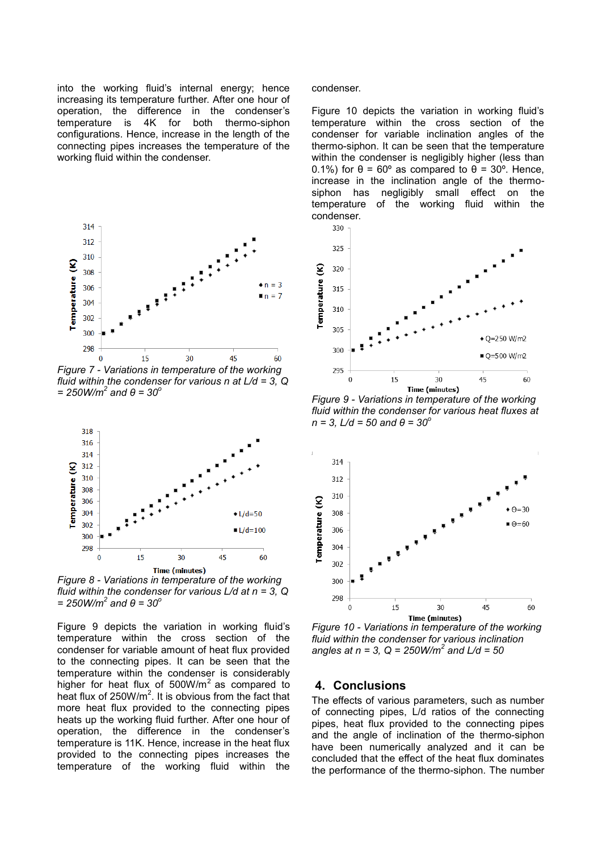into the working fluid's internal energy; hence increasing its temperature further. After one hour of operation, the difference in the condenser's temperature is 4K for both thermo-siphon configurations. Hence, increase in the length of the connecting pipes increases the temperature of the working fluid within the condenser.



*Figure 7 - Variations in temperature of the working fluid within the condenser for various n at L/d = 3, Q = 250W/m<sup>2</sup> and θ = 30<sup>o</sup>*



*Figure 8 - Variations in temperature of the working fluid within the condenser for various L/d at n = 3, Q = 250W/m<sup>2</sup> and θ = 30<sup>o</sup>*

Figure 9 depicts the variation in working fluid's temperature within the cross section of the condenser for variable amount of heat flux provided to the connecting pipes. It can be seen that the temperature within the condenser is considerably higher for heat flux of  $500W/m^2$  as compared to heat flux of  $250W/m^2$ . It is obvious from the fact that more heat flux provided to the connecting pipes heats up the working fluid further. After one hour of operation, the difference in the condenser's temperature is 11K. Hence, increase in the heat flux provided to the connecting pipes increases the temperature of the working fluid within the

condenser.

Figure 10 depicts the variation in working fluid's temperature within the cross section of the condenser for variable inclination angles of the thermo-siphon. It can be seen that the temperature within the condenser is negligibly higher (less than 0.1%) for  $\theta = 60^\circ$  as compared to  $\theta = 30^\circ$ . Hence, increase in the inclination angle of the thermosiphon has negligibly small effect on the temperature of the working fluid within the condenser.



*Figure 9 - Variations in temperature of the working fluid within the condenser for various heat fluxes at n = 3, L/d = 50 and θ = 30<sup>o</sup>*



*Figure 10 - Variations in temperature of the working fluid within the condenser for various inclination angles at n = 3, Q = 250W/m<sup>2</sup> and L/d = 50*

#### **4. Conclusions**

The effects of various parameters, such as number of connecting pipes, L/d ratios of the connecting pipes, heat flux provided to the connecting pipes and the angle of inclination of the thermo-siphon have been numerically analyzed and it can be concluded that the effect of the heat flux dominates the performance of the thermo-siphon. The number